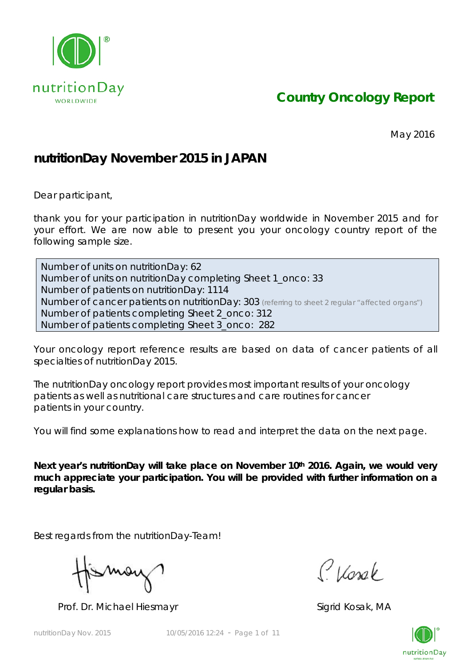

*Country Oncology Report*

May 2016

## **nutritionDay November 2015 in JAPAN**

Dear participant,

thank you for your participation in nutritionDay worldwide in November 2015 and for your effort. We are now able to present you your oncology country report of the following sample size.

Number of units on nutritionDay: 62 Number of units on nutritionDay completing Sheet 1\_onco: 33 Number of patients on nutritionDay: 1114 Number of cancer patients on nutritionDay: 303 *(referring to sheet 2 regular "affected organs")* Number of patients completing Sheet 2\_onco: 312 Number of patients completing Sheet 3\_onco: 282

Your oncology report reference results are based on data of cancer patients of all specialties of nutritionDay 2015.

The nutritionDay oncology report provides most important results of your oncology patients as well as nutritional care structures and care routines for cancer patients in your country.

You will find some explanations how to read and interpret the data on the next page.

Next year's nutritionDay will take place on November 10<sup>th</sup> 2016. Again, we would very **much appreciate your participation. You will be provided with further information on a regular basis.** 

Best regards from the nutritionDay-Team!

Mov

Prof. Dr. Michael Hiesmayr Sigrid Kosak, MA

Classe

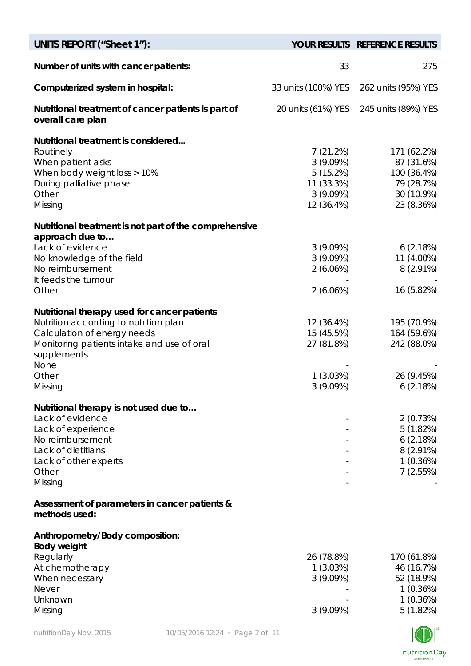| UNITS REPORT ("Sheet 1"):                                                                                                                                                                                                                                                                             |                                                                                                              | YOUR RESULTS REFERENCE RESULTS                                                                                              |
|-------------------------------------------------------------------------------------------------------------------------------------------------------------------------------------------------------------------------------------------------------------------------------------------------------|--------------------------------------------------------------------------------------------------------------|-----------------------------------------------------------------------------------------------------------------------------|
| Number of units with cancer patients:                                                                                                                                                                                                                                                                 | 33                                                                                                           | 275                                                                                                                         |
| Computerized system in hospital:                                                                                                                                                                                                                                                                      | 33 units (100%) YES                                                                                          | 262 units (95%) YES                                                                                                         |
| Nutritional treatment of cancer patients is part of<br>overall care plan                                                                                                                                                                                                                              | 20 units (61%) YES                                                                                           | 245 units (89%) YES                                                                                                         |
| Nutritional treatment is considered<br>Routinely<br>When patient asks<br>When body weight loss > 10%<br>During palliative phase<br>Other<br>Missing<br>Nutritional treatment is not part of the comprehensive<br>approach due to<br>Lack of evidence<br>No knowledge of the field<br>No reimbursement | 7(21.2%)<br>3(9.09%)<br>5(15.2%)<br>11 (33.3%)<br>3(9.09%)<br>12 (36.4%)<br>3(9.09%)<br>3(9.09%)<br>2(6.06%) | 171 (62.2%)<br>87 (31.6%)<br>100 (36.4%)<br>79 (28.7%)<br>30 (10.9%)<br>23 (8.36%)<br>6(2.18%)<br>11 (4.00%)<br>$8(2.91\%)$ |
| It feeds the tumour<br>Other                                                                                                                                                                                                                                                                          | 2(6.06%)                                                                                                     | 16 (5.82%)                                                                                                                  |
| Nutritional therapy used for cancer patients<br>Nutrition according to nutrition plan<br>Calculation of energy needs<br>Monitoring patients intake and use of oral<br>supplements<br>None<br>Other<br>Missing                                                                                         | 12 (36.4%)<br>15 (45.5%)<br>27 (81.8%)<br>1(3.03%)<br>3(9.09%)                                               | 195 (70.9%)<br>164 (59.6%)<br>242 (88.0%)<br>26 (9.45%)<br>6(2.18%)                                                         |
| Nutritional therapy is not used due to<br>Lack of evidence<br>Lack of experience<br>No reimbursement<br>Lack of dietitians<br>Lack of other experts<br>Other<br>Missing                                                                                                                               |                                                                                                              | 2(0.73%)<br>5(1.82%)<br>6(2.18%)<br>$8(2.91\%)$<br>1(0.36%)<br>7(2.55%)                                                     |
| Assessment of parameters in cancer patients &<br>methods used:                                                                                                                                                                                                                                        |                                                                                                              |                                                                                                                             |
| Anthropometry/Body composition:<br><b>Body weight</b><br>Regularly<br>At chemotherapy<br>When necessary<br><b>Never</b><br>Unknown<br>Missing                                                                                                                                                         | 26 (78.8%)<br>1 (3.03%)<br>$3(9.09\%)$<br>3(9.09%)                                                           | 170 (61.8%)<br>46 (16.7%)<br>52 (18.9%)<br>1(0.36%)<br>1(0.36%)<br>5(1.82%)                                                 |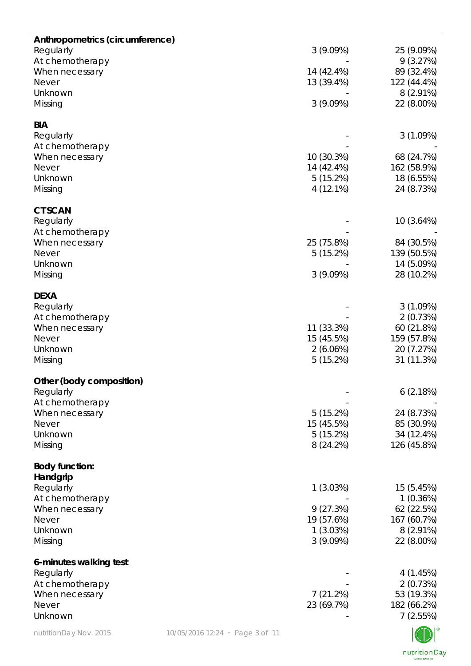| Anthropometrics (circumference)   |                                 |                          |                           |
|-----------------------------------|---------------------------------|--------------------------|---------------------------|
| Regularly                         |                                 | 3(9.09%)                 | 25 (9.09%)<br>9(3.27%)    |
| At chemotherapy<br>When necessary |                                 | 14 (42.4%)               | 89 (32.4%)                |
| <b>Never</b>                      |                                 | 13 (39.4%)               | 122 (44.4%)               |
| Unknown                           |                                 |                          | $8(2.91\%)$               |
| Missing                           |                                 | 3(9.09%)                 | 22 (8.00%)                |
| <b>BIA</b>                        |                                 |                          |                           |
| Regularly                         |                                 |                          | 3(1.09%)                  |
| At chemotherapy<br>When necessary |                                 | 10 (30.3%)               | 68 (24.7%)                |
| <b>Never</b>                      |                                 | 14 (42.4%)               | 162 (58.9%)               |
| Unknown                           |                                 | 5(15.2%)                 | 18 (6.55%)                |
| Missing                           |                                 | 4 (12.1%)                | 24 (8.73%)                |
| <b>CT SCAN</b>                    |                                 |                          |                           |
| Regularly                         |                                 |                          | 10 (3.64%)                |
| At chemotherapy<br>When necessary |                                 | 25 (75.8%)               | 84 (30.5%)                |
| <b>Never</b>                      |                                 | 5(15.2%)                 | 139 (50.5%)               |
| Unknown                           |                                 |                          | 14 (5.09%)                |
| Missing                           |                                 | 3(9.09%)                 | 28 (10.2%)                |
| <b>DEXA</b>                       |                                 |                          |                           |
| Regularly                         |                                 |                          | 3(1.09%)                  |
| At chemotherapy                   |                                 |                          | 2(0.73%)                  |
| When necessary<br><b>Never</b>    |                                 | 11 (33.3%)<br>15 (45.5%) | 60 (21.8%)<br>159 (57.8%) |
| Unknown                           |                                 | 2(6.06%)                 | 20 (7.27%)                |
| Missing                           |                                 | 5(15.2%)                 | 31 (11.3%)                |
| Other (body composition)          |                                 |                          |                           |
| Regularly                         |                                 |                          | 6(2.18%)                  |
| At chemotherapy                   |                                 |                          |                           |
| When necessary                    |                                 | 5(15.2%)                 | 24 (8.73%)                |
| <b>Never</b><br>Unknown           |                                 | 15 (45.5%)<br>5(15.2%)   | 85 (30.9%)<br>34 (12.4%)  |
| Missing                           |                                 | 8(24.2%)                 | 126 (45.8%)               |
|                                   |                                 |                          |                           |
| <b>Body function:</b><br>Handgrip |                                 |                          |                           |
| Regularly                         |                                 | 1(3.03%)                 | 15 (5.45%)                |
| At chemotherapy                   |                                 |                          | 1(0.36%)                  |
| When necessary                    |                                 | 9(27.3%)                 | 62 (22.5%)                |
| <b>Never</b>                      |                                 | 19 (57.6%)               | 167 (60.7%)               |
| Unknown                           |                                 | 1(3.03%)                 | $8(2.91\%)$               |
| Missing                           |                                 | 3(9.09%)                 | 22 (8.00%)                |
| 6-minutes walking test            |                                 |                          |                           |
| Regularly<br>At chemotherapy      |                                 |                          | 4 (1.45%)<br>2(0.73%)     |
| When necessary                    |                                 | 7(21.2%)                 | 53 (19.3%)                |
| <b>Never</b>                      |                                 | 23 (69.7%)               | 182 (66.2%)               |
| Unknown                           |                                 |                          | 7(2.55%)                  |
| nutritionDay Nov. 2015            | 10/05/2016 12:24 - Page 3 of 11 |                          |                           |

NV I nutritionDay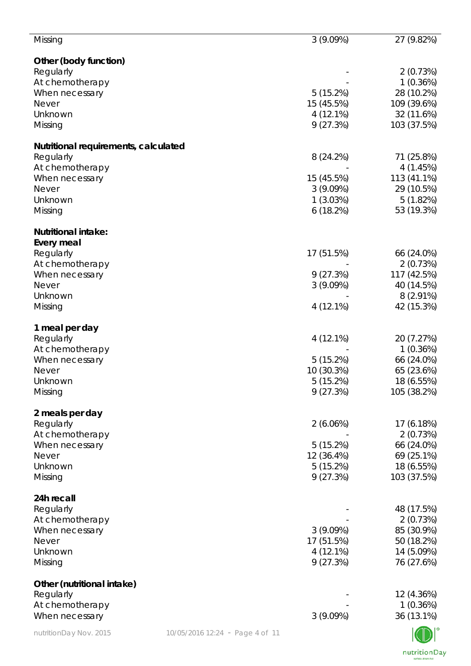| Other (body function)<br>Regularly<br>2(0.73%)<br>1(0.36%)<br>At chemotherapy<br>5(15.2%)<br>28 (10.2%)<br>15 (45.5%)<br>109 (39.6%)<br>$4(12.1\%)$<br>32 (11.6%)<br>9(27.3%)<br>Missing<br>103 (37.5%)<br>Nutritional requirements, calculated<br>Regularly<br>71 (25.8%)<br>8(24.2%)<br>4(1.45%)<br>15 (45.5%)<br>113 (41.1%)<br>3(9.09%)<br>29 (10.5%)<br><b>Never</b><br>1(3.03%)<br>5(1.82%)<br>Unknown<br>53 (19.3%)<br>6(18.2%)<br>Missing<br>Regularly<br>17 (51.5%)<br>66 (24.0%)<br>At chemotherapy<br>2(0.73%)<br>9(27.3%)<br>117 (42.5%)<br>When necessary<br>3(9.09%)<br>40 (14.5%)<br><b>Never</b><br>Unknown<br>$8(2.91\%)$<br>4 (12.1%)<br>42 (15.3%)<br>Missing<br>Regularly<br>4 (12.1%)<br>20 (7.27%)<br>At chemotherapy<br>1(0.36%)<br>5(15.2%)<br>66 (24.0%)<br>When necessary<br>10 (30.3%)<br>65 (23.6%)<br>Never<br>5(15.2%)<br>18 (6.55%)<br>Unknown<br>105 (38.2%)<br>9(27.3%)<br>2 meals per day<br>Regularly<br>2(6.06%)<br>17 (6.18%)<br>At chemotherapy<br>2(0.73%)<br>5(15.2%)<br>66 (24.0%)<br>When necessary<br>12 (36.4%)<br>69 (25.1%)<br><b>Never</b><br>5(15.2%)<br>18 (6.55%)<br>9(27.3%)<br>103 (37.5%)<br>24h recall<br>Regularly<br>48 (17.5%)<br>At chemotherapy<br>2(0.73%) | Missing                    | 3(9.09%) | 27 (9.82%) |
|------------------------------------------------------------------------------------------------------------------------------------------------------------------------------------------------------------------------------------------------------------------------------------------------------------------------------------------------------------------------------------------------------------------------------------------------------------------------------------------------------------------------------------------------------------------------------------------------------------------------------------------------------------------------------------------------------------------------------------------------------------------------------------------------------------------------------------------------------------------------------------------------------------------------------------------------------------------------------------------------------------------------------------------------------------------------------------------------------------------------------------------------------------------------------------------------------------------------|----------------------------|----------|------------|
|                                                                                                                                                                                                                                                                                                                                                                                                                                                                                                                                                                                                                                                                                                                                                                                                                                                                                                                                                                                                                                                                                                                                                                                                                        |                            |          |            |
|                                                                                                                                                                                                                                                                                                                                                                                                                                                                                                                                                                                                                                                                                                                                                                                                                                                                                                                                                                                                                                                                                                                                                                                                                        |                            |          |            |
|                                                                                                                                                                                                                                                                                                                                                                                                                                                                                                                                                                                                                                                                                                                                                                                                                                                                                                                                                                                                                                                                                                                                                                                                                        |                            |          |            |
|                                                                                                                                                                                                                                                                                                                                                                                                                                                                                                                                                                                                                                                                                                                                                                                                                                                                                                                                                                                                                                                                                                                                                                                                                        | When necessary             |          |            |
|                                                                                                                                                                                                                                                                                                                                                                                                                                                                                                                                                                                                                                                                                                                                                                                                                                                                                                                                                                                                                                                                                                                                                                                                                        | <b>Never</b>               |          |            |
|                                                                                                                                                                                                                                                                                                                                                                                                                                                                                                                                                                                                                                                                                                                                                                                                                                                                                                                                                                                                                                                                                                                                                                                                                        | Unknown                    |          |            |
|                                                                                                                                                                                                                                                                                                                                                                                                                                                                                                                                                                                                                                                                                                                                                                                                                                                                                                                                                                                                                                                                                                                                                                                                                        |                            |          |            |
|                                                                                                                                                                                                                                                                                                                                                                                                                                                                                                                                                                                                                                                                                                                                                                                                                                                                                                                                                                                                                                                                                                                                                                                                                        |                            |          |            |
|                                                                                                                                                                                                                                                                                                                                                                                                                                                                                                                                                                                                                                                                                                                                                                                                                                                                                                                                                                                                                                                                                                                                                                                                                        |                            |          |            |
|                                                                                                                                                                                                                                                                                                                                                                                                                                                                                                                                                                                                                                                                                                                                                                                                                                                                                                                                                                                                                                                                                                                                                                                                                        | At chemotherapy            |          |            |
|                                                                                                                                                                                                                                                                                                                                                                                                                                                                                                                                                                                                                                                                                                                                                                                                                                                                                                                                                                                                                                                                                                                                                                                                                        | When necessary             |          |            |
|                                                                                                                                                                                                                                                                                                                                                                                                                                                                                                                                                                                                                                                                                                                                                                                                                                                                                                                                                                                                                                                                                                                                                                                                                        |                            |          |            |
|                                                                                                                                                                                                                                                                                                                                                                                                                                                                                                                                                                                                                                                                                                                                                                                                                                                                                                                                                                                                                                                                                                                                                                                                                        |                            |          |            |
|                                                                                                                                                                                                                                                                                                                                                                                                                                                                                                                                                                                                                                                                                                                                                                                                                                                                                                                                                                                                                                                                                                                                                                                                                        |                            |          |            |
|                                                                                                                                                                                                                                                                                                                                                                                                                                                                                                                                                                                                                                                                                                                                                                                                                                                                                                                                                                                                                                                                                                                                                                                                                        | <b>Nutritional intake:</b> |          |            |
|                                                                                                                                                                                                                                                                                                                                                                                                                                                                                                                                                                                                                                                                                                                                                                                                                                                                                                                                                                                                                                                                                                                                                                                                                        | Every meal                 |          |            |
|                                                                                                                                                                                                                                                                                                                                                                                                                                                                                                                                                                                                                                                                                                                                                                                                                                                                                                                                                                                                                                                                                                                                                                                                                        |                            |          |            |
|                                                                                                                                                                                                                                                                                                                                                                                                                                                                                                                                                                                                                                                                                                                                                                                                                                                                                                                                                                                                                                                                                                                                                                                                                        |                            |          |            |
|                                                                                                                                                                                                                                                                                                                                                                                                                                                                                                                                                                                                                                                                                                                                                                                                                                                                                                                                                                                                                                                                                                                                                                                                                        |                            |          |            |
|                                                                                                                                                                                                                                                                                                                                                                                                                                                                                                                                                                                                                                                                                                                                                                                                                                                                                                                                                                                                                                                                                                                                                                                                                        |                            |          |            |
|                                                                                                                                                                                                                                                                                                                                                                                                                                                                                                                                                                                                                                                                                                                                                                                                                                                                                                                                                                                                                                                                                                                                                                                                                        |                            |          |            |
|                                                                                                                                                                                                                                                                                                                                                                                                                                                                                                                                                                                                                                                                                                                                                                                                                                                                                                                                                                                                                                                                                                                                                                                                                        |                            |          |            |
|                                                                                                                                                                                                                                                                                                                                                                                                                                                                                                                                                                                                                                                                                                                                                                                                                                                                                                                                                                                                                                                                                                                                                                                                                        | 1 meal per day             |          |            |
|                                                                                                                                                                                                                                                                                                                                                                                                                                                                                                                                                                                                                                                                                                                                                                                                                                                                                                                                                                                                                                                                                                                                                                                                                        |                            |          |            |
|                                                                                                                                                                                                                                                                                                                                                                                                                                                                                                                                                                                                                                                                                                                                                                                                                                                                                                                                                                                                                                                                                                                                                                                                                        |                            |          |            |
|                                                                                                                                                                                                                                                                                                                                                                                                                                                                                                                                                                                                                                                                                                                                                                                                                                                                                                                                                                                                                                                                                                                                                                                                                        |                            |          |            |
|                                                                                                                                                                                                                                                                                                                                                                                                                                                                                                                                                                                                                                                                                                                                                                                                                                                                                                                                                                                                                                                                                                                                                                                                                        |                            |          |            |
|                                                                                                                                                                                                                                                                                                                                                                                                                                                                                                                                                                                                                                                                                                                                                                                                                                                                                                                                                                                                                                                                                                                                                                                                                        | Missing                    |          |            |
|                                                                                                                                                                                                                                                                                                                                                                                                                                                                                                                                                                                                                                                                                                                                                                                                                                                                                                                                                                                                                                                                                                                                                                                                                        |                            |          |            |
|                                                                                                                                                                                                                                                                                                                                                                                                                                                                                                                                                                                                                                                                                                                                                                                                                                                                                                                                                                                                                                                                                                                                                                                                                        |                            |          |            |
|                                                                                                                                                                                                                                                                                                                                                                                                                                                                                                                                                                                                                                                                                                                                                                                                                                                                                                                                                                                                                                                                                                                                                                                                                        |                            |          |            |
|                                                                                                                                                                                                                                                                                                                                                                                                                                                                                                                                                                                                                                                                                                                                                                                                                                                                                                                                                                                                                                                                                                                                                                                                                        |                            |          |            |
|                                                                                                                                                                                                                                                                                                                                                                                                                                                                                                                                                                                                                                                                                                                                                                                                                                                                                                                                                                                                                                                                                                                                                                                                                        |                            |          |            |
|                                                                                                                                                                                                                                                                                                                                                                                                                                                                                                                                                                                                                                                                                                                                                                                                                                                                                                                                                                                                                                                                                                                                                                                                                        | Unknown                    |          |            |
|                                                                                                                                                                                                                                                                                                                                                                                                                                                                                                                                                                                                                                                                                                                                                                                                                                                                                                                                                                                                                                                                                                                                                                                                                        | Missing                    |          |            |
|                                                                                                                                                                                                                                                                                                                                                                                                                                                                                                                                                                                                                                                                                                                                                                                                                                                                                                                                                                                                                                                                                                                                                                                                                        |                            |          |            |
|                                                                                                                                                                                                                                                                                                                                                                                                                                                                                                                                                                                                                                                                                                                                                                                                                                                                                                                                                                                                                                                                                                                                                                                                                        |                            |          |            |
|                                                                                                                                                                                                                                                                                                                                                                                                                                                                                                                                                                                                                                                                                                                                                                                                                                                                                                                                                                                                                                                                                                                                                                                                                        |                            |          |            |
|                                                                                                                                                                                                                                                                                                                                                                                                                                                                                                                                                                                                                                                                                                                                                                                                                                                                                                                                                                                                                                                                                                                                                                                                                        | When necessary             | 3(9.09%) | 85 (30.9%) |
| 17 (51.5%)<br>50 (18.2%)                                                                                                                                                                                                                                                                                                                                                                                                                                                                                                                                                                                                                                                                                                                                                                                                                                                                                                                                                                                                                                                                                                                                                                                               | <b>Never</b>               |          |            |
| $4(12.1\%)$<br>14 (5.09%)                                                                                                                                                                                                                                                                                                                                                                                                                                                                                                                                                                                                                                                                                                                                                                                                                                                                                                                                                                                                                                                                                                                                                                                              | Unknown                    |          |            |
| 9(27.3%)<br>76 (27.6%)                                                                                                                                                                                                                                                                                                                                                                                                                                                                                                                                                                                                                                                                                                                                                                                                                                                                                                                                                                                                                                                                                                                                                                                                 | Missing                    |          |            |
|                                                                                                                                                                                                                                                                                                                                                                                                                                                                                                                                                                                                                                                                                                                                                                                                                                                                                                                                                                                                                                                                                                                                                                                                                        | Other (nutritional intake) |          |            |
| 12 (4.36%)                                                                                                                                                                                                                                                                                                                                                                                                                                                                                                                                                                                                                                                                                                                                                                                                                                                                                                                                                                                                                                                                                                                                                                                                             | Regularly                  |          |            |
| 1(0.36%)                                                                                                                                                                                                                                                                                                                                                                                                                                                                                                                                                                                                                                                                                                                                                                                                                                                                                                                                                                                                                                                                                                                                                                                                               | At chemotherapy            |          |            |
| 3(9.09%)<br>36 (13.1%)                                                                                                                                                                                                                                                                                                                                                                                                                                                                                                                                                                                                                                                                                                                                                                                                                                                                                                                                                                                                                                                                                                                                                                                                 | When necessary             |          |            |
| 10/05/2016 12:24 - Page 4 of 11                                                                                                                                                                                                                                                                                                                                                                                                                                                                                                                                                                                                                                                                                                                                                                                                                                                                                                                                                                                                                                                                                                                                                                                        | nutritionDay Nov. 2015     |          |            |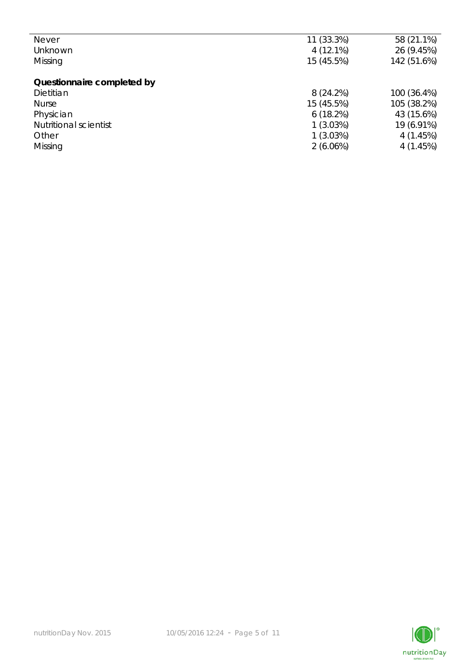| 11 (33.3%)  | 58 (21.1%)  |
|-------------|-------------|
| $4(12.1\%)$ | 26 (9.45%)  |
| 15 (45.5%)  | 142 (51.6%) |
|             |             |
|             |             |
| 8(24.2%)    | 100 (36.4%) |
| 15 (45.5%)  | 105 (38.2%) |
| 6(18.2%)    | 43 (15.6%)  |
| 1(3.03%)    | 19 (6.91%)  |
| 1(3.03%)    | 4(1.45%)    |
| $2(6.06\%)$ | 4(1.45%)    |
|             |             |

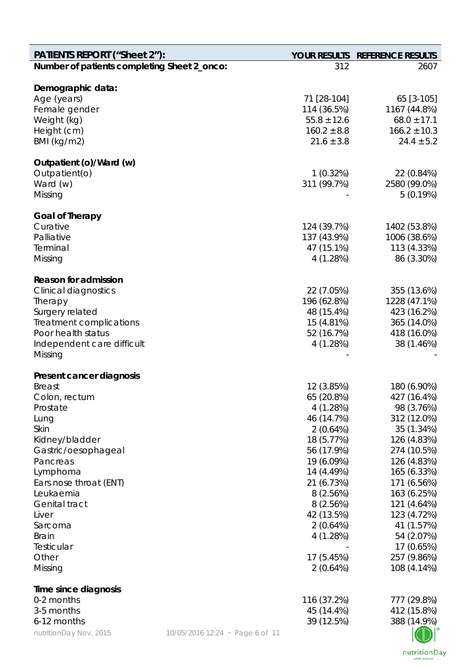| <b>PATIENTS REPORT ("Sheet 2"):</b>         |                                 |                            | YOUR RESULTS REFERENCE RESULTS |
|---------------------------------------------|---------------------------------|----------------------------|--------------------------------|
| Number of patients completing Sheet 2_onco: |                                 | 312                        | 2607                           |
|                                             |                                 |                            |                                |
| Demographic data:                           |                                 |                            |                                |
| Age (years)<br>Female gender                |                                 | 71 [28-104]<br>114 (36.5%) | 65 [3-105]<br>1167 (44.8%)     |
| Weight (kg)                                 |                                 | $55.8 \pm 12.6$            | $68.0 \pm 17.1$                |
| Height (cm)                                 |                                 | $160.2 \pm 8.8$            | $166.2 \pm 10.3$               |
| BMI (kg/m2)                                 |                                 | $21.6 \pm 3.8$             | $24.4 \pm 5.2$                 |
| Outpatient (o)/Ward (w)                     |                                 |                            |                                |
| Outpatient(o)                               |                                 | 1(0.32%)                   | 22 (0.84%)                     |
| Ward (w)                                    |                                 | 311 (99.7%)                | 2580 (99.0%)                   |
| Missing                                     |                                 |                            | 5(0.19%)                       |
| <b>Goal of Therapy</b>                      |                                 |                            |                                |
| Curative                                    |                                 | 124 (39.7%)                | 1402 (53.8%)                   |
| Palliative                                  |                                 | 137 (43.9%)                | 1006 (38.6%)                   |
| Terminal                                    |                                 | 47 (15.1%)                 | 113 (4.33%)                    |
| Missing                                     |                                 | 4(1.28%)                   | 86 (3.30%)                     |
| <b>Reason for admission</b>                 |                                 |                            |                                |
| <b>Clinical diagnostics</b>                 |                                 | 22 (7.05%)                 | 355 (13.6%)                    |
| Therapy                                     |                                 | 196 (62.8%)                | 1228 (47.1%)                   |
| Surgery related                             |                                 | 48 (15.4%)                 | 423 (16.2%)                    |
| Treatment complications                     |                                 | 15 (4.81%)                 | 365 (14.0%)                    |
| Poor health status                          |                                 | 52 (16.7%)                 | 418 (16.0%)                    |
| Independent care difficult                  |                                 | 4(1.28%)                   | 38 (1.46%)                     |
| Missing                                     |                                 |                            |                                |
| Present cancer diagnosis                    |                                 |                            |                                |
| <b>Breast</b>                               |                                 | 12 (3.85%)                 | 180 (6.90%)                    |
| Colon, rectum                               |                                 | 65 (20.8%)                 | 427 (16.4%)                    |
| Prostate                                    |                                 | 4 (1.28%)                  | 98 (3.76%)                     |
| Lung                                        |                                 | 46 (14.7%)                 | 312 (12.0%)                    |
| Skin                                        |                                 | 2(0.64%)                   | 35 (1.34%)                     |
| Kidney/bladder                              |                                 | 18 (5.77%)                 | 126 (4.83%)                    |
| Gastric/oesophageal                         |                                 | 56 (17.9%)                 | 274 (10.5%)                    |
| Pancreas                                    |                                 | 19 (6.09%)                 | 126 (4.83%)                    |
| Lymphoma<br>Ears nose throat (ENT)          |                                 | 14 (4.49%)<br>21 (6.73%)   | 165 (6.33%)<br>171 (6.56%)     |
| Leukaemia                                   |                                 | 8(2.56%)                   | 163 (6.25%)                    |
| <b>Genital tract</b>                        |                                 | 8(2.56%)                   | 121 (4.64%)                    |
| Liver                                       |                                 | 42 (13.5%)                 | 123 (4.72%)                    |
| Sarcoma                                     |                                 | 2(0.64%)                   | 41 (1.57%)                     |
| <b>Brain</b>                                |                                 | 4 (1.28%)                  | 54 (2.07%)                     |
| Testicular                                  |                                 |                            | 17 (0.65%)                     |
| Other                                       |                                 | 17 (5.45%)                 | 257 (9.86%)                    |
| Missing                                     |                                 | 2(0.64%)                   | 108 (4.14%)                    |
| Time since diagnosis                        |                                 |                            |                                |
| 0-2 months                                  |                                 | 116 (37.2%)                | 777 (29.8%)                    |
| 3-5 months                                  |                                 | 45 (14.4%)                 | 412 (15.8%)                    |
| 6-12 months                                 |                                 | 39 (12.5%)                 | 388 (14.9%)                    |
| nutritionDay Nov. 2015                      | 10/05/2016 12:24 - Page 6 of 11 |                            |                                |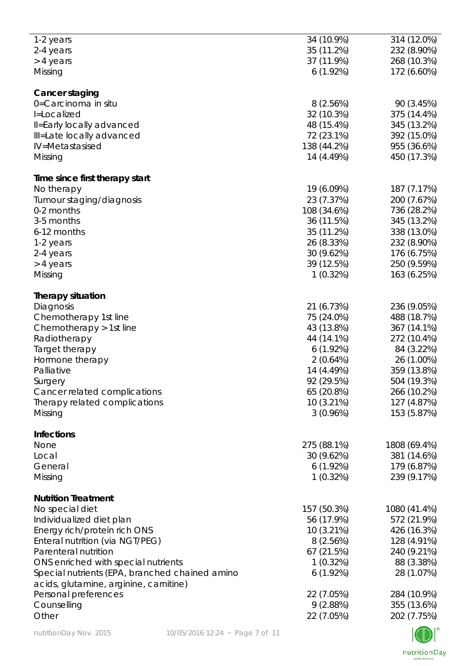| 1-2 years                                      | 34 (10.9%)   | 314 (12.0%)   |
|------------------------------------------------|--------------|---------------|
| 2-4 years                                      | 35 (11.2%)   | 232 (8.90%)   |
|                                                | 37 (11.9%)   | 268 (10.3%)   |
| > 4 years                                      |              |               |
| Missing                                        | 6(1.92%)     | 172 (6.60%)   |
| Cancer staging                                 |              |               |
| 0=Carcinoma in situ                            | 8(2.56%)     | 90 (3.45%)    |
|                                                |              |               |
| I=Localized                                    | 32 (10.3%)   | 375 (14.4%)   |
| Il=Early locally advanced                      | 48 (15.4%)   | 345 (13.2%)   |
| Ill=Late locally advanced                      | 72 (23.1%)   | 392 (15.0%)   |
| IV=Metastasised                                | 138 (44.2%)  | 955 (36.6%)   |
| Missing                                        | 14 (4.49%)   | 450 (17.3%)   |
|                                                |              |               |
| Time since first therapy start                 |              |               |
| No therapy                                     | 19 (6.09%)   | 187 (7.17%)   |
| Tumour staging/diagnosis                       | 23 (7.37%)   | 200 (7.67%)   |
| 0-2 months                                     | 108 (34.6%)  | 736 (28.2%)   |
| 3-5 months                                     | 36 (11.5%)   | 345 (13.2%)   |
| 6-12 months                                    | 35 (11.2%)   | 338 (13.0%)   |
|                                                |              |               |
| 1-2 years                                      | 26 (8.33%)   | 232 (8.90%)   |
| 2-4 years                                      | 30 (9.62%)   | 176 (6.75%)   |
| > 4 years                                      | 39 (12.5%)   | 250 (9.59%)   |
| Missing                                        | 1(0.32%)     | 163 (6.25%)   |
| <b>Therapy situation</b>                       |              |               |
|                                                |              |               |
| Diagnosis                                      | 21 (6.73%)   | 236 (9.05%)   |
| Chemotherapy 1st line                          | 75 (24.0%)   | 488 (18.7%)   |
| Chemotherapy > 1st line                        | 43 (13.8%)   | 367 (14.1%)   |
| Radiotherapy                                   | 44 (14.1%)   | 272 (10.4%)   |
| Target therapy                                 | 6(1.92%)     | 84 (3.22%)    |
| Hormone therapy                                | 2(0.64%)     | 26 (1.00%)    |
| Palliative                                     | 14 (4.49%)   | 359 (13.8%)   |
|                                                | 92 (29.5%)   |               |
| Surgery                                        |              | 504 (19.3%)   |
| Cancer related complications                   | 65 (20.8%)   | 266 (10.2%)   |
| Therapy related complications                  | $10(3.21\%)$ | 127 (4.87%)   |
| Missing                                        | 3(0.96%)     | 153 (5.87%)   |
| <b>Infections</b>                              |              |               |
| None                                           | 275 (88.1%)  | 1808 (69.4%)  |
|                                                |              |               |
| Local                                          | 30 (9.62%)   | 381 (14.6%)   |
| General                                        | 6(1.92%)     | 179 (6.87%)   |
| Missing                                        | 1(0.32%)     | 239 (9.17%)   |
| <b>Nutrition Treatment</b>                     |              |               |
| No special diet                                | 157 (50.3%)  | 1080 (41.4%)  |
|                                                |              |               |
| Individualized diet plan                       | 56 (17.9%)   | 572 (21.9%)   |
| Energy rich/protein rich ONS                   | 10 (3.21%)   | 426 (16.3%)   |
| Enteral nutrition (via NGT/PEG)                | 8(2.56%)     | 128 (4.91%)   |
| Parenteral nutrition                           | 67 (21.5%)   | 240 (9.21%)   |
| ONS enriched with special nutrients            | 1(0.32%)     | 88 (3.38%)    |
| Special nutrients (EPA, branched chained amino | $6(1.92\%)$  | 28 (1.07%)    |
| acids, glutamine, arginine, carnitine)         |              |               |
|                                                |              |               |
| Personal preferences                           | 22 (7.05%)   | 284 (10.9%)   |
| Counselling                                    | 9(2.88%)     | 355 (13.6%)   |
| Other                                          | 22 (7.05%)   | 202 (7.75%)   |
|                                                |              | $\sqrt{2}$ 10 |

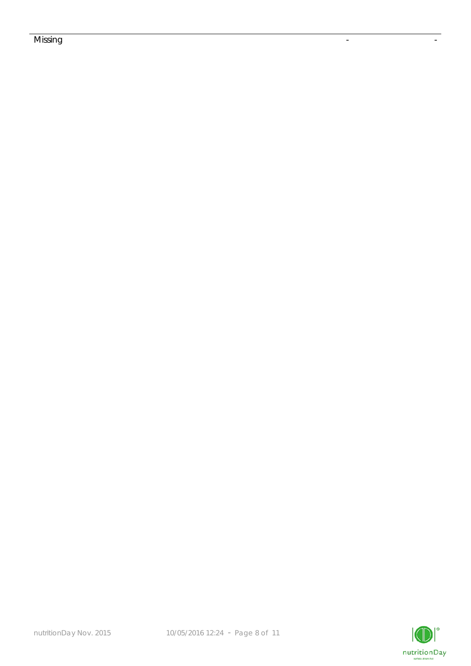## Missing the contract of the contract of the contract of the contract of the contract of the contract of the co

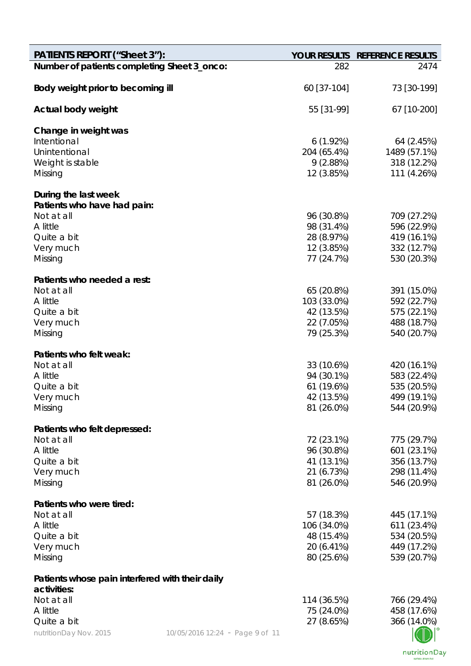| <b>PATIENTS REPORT ("Sheet 3"):</b>             |                                 |                           | YOUR RESULTS REFERENCE RESULTS |
|-------------------------------------------------|---------------------------------|---------------------------|--------------------------------|
| Number of patients completing Sheet 3_onco:     |                                 | 282                       | 2474                           |
| Body weight prior to becoming ill               |                                 | 60 [37-104]               | 73 [30-199]                    |
| Actual body weight                              |                                 | 55 [31-99]                | 67 [10-200]                    |
| Change in weight was                            |                                 |                           |                                |
| Intentional                                     |                                 | 6(1.92%)                  | 64 (2.45%)                     |
| Unintentional                                   |                                 | 204 (65.4%)               | 1489 (57.1%)                   |
| Weight is stable                                |                                 | 9(2.88%)                  | 318 (12.2%)                    |
| Missing                                         |                                 | 12 (3.85%)                | 111 (4.26%)                    |
| During the last week                            |                                 |                           |                                |
| Patients who have had pain:                     |                                 |                           |                                |
| Not at all                                      |                                 | 96 (30.8%)                | 709 (27.2%)                    |
| A little<br>Quite a bit                         |                                 | 98 (31.4%)<br>28 (8.97%)  | 596 (22.9%)<br>419 (16.1%)     |
| Very much                                       |                                 | 12 (3.85%)                | 332 (12.7%)                    |
| Missing                                         |                                 | 77 (24.7%)                | 530 (20.3%)                    |
|                                                 |                                 |                           |                                |
| Patients who needed a rest:                     |                                 |                           |                                |
| Not at all                                      |                                 | 65 (20.8%)                | 391 (15.0%)                    |
| A little                                        |                                 | 103 (33.0%)               | 592 (22.7%)                    |
| Quite a bit                                     |                                 | 42 (13.5%)<br>22 (7.05%)  | 575 (22.1%)                    |
| Very much<br>Missing                            |                                 | 79 (25.3%)                | 488 (18.7%)<br>540 (20.7%)     |
|                                                 |                                 |                           |                                |
| Patients who felt weak:                         |                                 |                           |                                |
| Not at all                                      |                                 | 33 (10.6%)                | 420 (16.1%)                    |
| A little                                        |                                 | 94 (30.1%)                | 583 (22.4%)                    |
| Quite a bit                                     |                                 | 61 (19.6%)                | 535 (20.5%)                    |
| Very much                                       |                                 | 42 (13.5%)                | 499 (19.1%)                    |
| Missing                                         |                                 | 81 (26.0%)                | 544 (20.9%)                    |
| Patients who felt depressed:                    |                                 |                           |                                |
| Not at all                                      |                                 | 72 (23.1%)                | 775 (29.7%)                    |
| A little                                        |                                 | 96 (30.8%)                | 601 (23.1%)                    |
| Quite a bit                                     |                                 | 41 (13.1%)                | 356 (13.7%)                    |
| Very much                                       |                                 | 21 (6.73%)                | 298 (11.4%)<br>546 (20.9%)     |
| Missing                                         |                                 | 81 (26.0%)                |                                |
| Patients who were tired:                        |                                 |                           |                                |
| Not at all                                      |                                 | 57 (18.3%)                | 445 (17.1%)                    |
| A little                                        |                                 | 106 (34.0%)               | 611 (23.4%)                    |
| Quite a bit                                     |                                 | 48 (15.4%)                | 534 (20.5%)                    |
| Very much                                       |                                 | 20 (6.41%)                | 449 (17.2%)                    |
| Missing                                         |                                 | 80 (25.6%)                | 539 (20.7%)                    |
| Patients whose pain interfered with their daily |                                 |                           |                                |
| activities:                                     |                                 |                           |                                |
| Not at all<br>A little                          |                                 | 114 (36.5%)<br>75 (24.0%) | 766 (29.4%)<br>458 (17.6%)     |
| Quite a bit                                     |                                 | 27 (8.65%)                | 366 (14.0%)                    |
| nutritionDay Nov. 2015                          | 10/05/2016 12:24 - Page 9 of 11 |                           |                                |
|                                                 |                                 |                           |                                |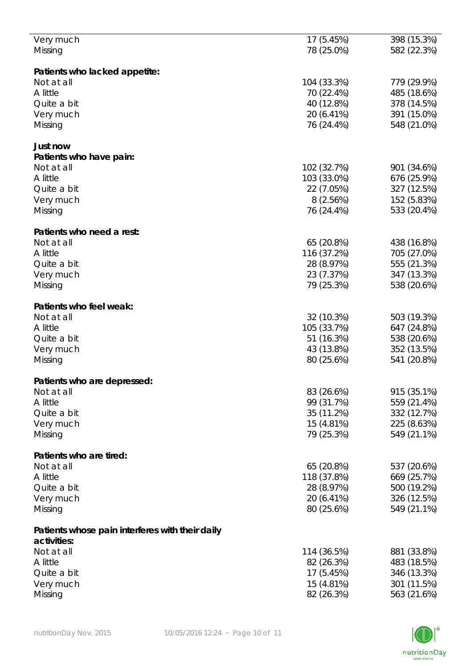| Very much                                       | 17 (5.45%)  | 398 (15.3%) |
|-------------------------------------------------|-------------|-------------|
| Missing                                         | 78 (25.0%)  | 582 (22.3%) |
|                                                 |             |             |
|                                                 |             |             |
| Patients who lacked appetite:                   |             |             |
| Not at all                                      | 104 (33.3%) | 779 (29.9%) |
| A little                                        | 70 (22.4%)  | 485 (18.6%) |
| Quite a bit                                     | 40 (12.8%)  | 378 (14.5%) |
| Very much                                       | 20 (6.41%)  | 391 (15.0%) |
| Missing                                         | 76 (24.4%)  | 548 (21.0%) |
|                                                 |             |             |
|                                                 |             |             |
| Just now                                        |             |             |
| Patients who have pain:                         |             |             |
| Not at all                                      | 102 (32.7%) | 901 (34.6%) |
| A little                                        | 103 (33.0%) | 676 (25.9%) |
| Quite a bit                                     | 22 (7.05%)  | 327 (12.5%) |
|                                                 |             |             |
| Very much                                       | 8(2.56%)    | 152 (5.83%) |
| Missing                                         | 76 (24.4%)  | 533 (20.4%) |
|                                                 |             |             |
| Patients who need a rest:                       |             |             |
| Not at all                                      | 65 (20.8%)  | 438 (16.8%) |
| A little                                        | 116 (37.2%) | 705 (27.0%) |
|                                                 |             |             |
| Quite a bit                                     | 28 (8.97%)  | 555 (21.3%) |
| Very much                                       | 23 (7.37%)  | 347 (13.3%) |
| Missing                                         | 79 (25.3%)  | 538 (20.6%) |
|                                                 |             |             |
| Patients who feel weak:                         |             |             |
|                                                 |             |             |
| Not at all                                      | 32 (10.3%)  | 503 (19.3%) |
| A little                                        | 105 (33.7%) | 647 (24.8%) |
| Quite a bit                                     | 51 (16.3%)  | 538 (20.6%) |
| Very much                                       | 43 (13.8%)  | 352 (13.5%) |
| Missing                                         | 80 (25.6%)  | 541 (20.8%) |
|                                                 |             |             |
|                                                 |             |             |
| Patients who are depressed:                     |             |             |
| Not at all                                      | 83 (26.6%)  | 915 (35.1%) |
| A little                                        | 99 (31.7%)  | 559 (21.4%) |
| Quite a bit                                     | 35 (11.2%)  | 332 (12.7%) |
| Very much                                       | 15 (4.81%)  | 225 (8.63%) |
| Missing                                         | 79 (25.3%)  | 549 (21.1%) |
|                                                 |             |             |
|                                                 |             |             |
| Patients who are tired:                         |             |             |
| Not at all                                      | 65 (20.8%)  | 537 (20.6%) |
| A little                                        | 118 (37.8%) | 669 (25.7%) |
| Quite a bit                                     | 28 (8.97%)  | 500 (19.2%) |
| Very much                                       | 20 (6.41%)  | 326 (12.5%) |
|                                                 |             |             |
| Missing                                         | 80 (25.6%)  | 549 (21.1%) |
|                                                 |             |             |
| Patients whose pain interferes with their daily |             |             |
| activities:                                     |             |             |
| Not at all                                      | 114 (36.5%) | 881 (33.8%) |
|                                                 |             |             |
| A little                                        | 82 (26.3%)  | 483 (18.5%) |
| Quite a bit                                     | 17 (5.45%)  | 346 (13.3%) |
| Very much                                       | 15 (4.81%)  | 301 (11.5%) |
| Missing                                         | 82 (26.3%)  | 563 (21.6%) |
|                                                 |             |             |